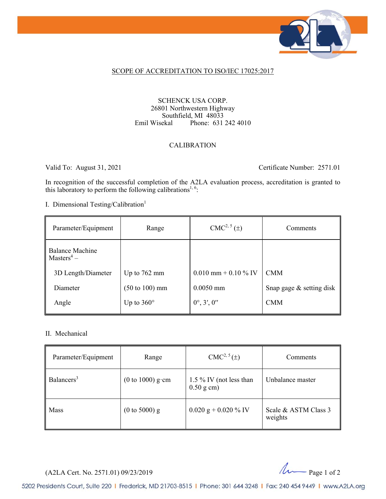

#### SCOPE OF ACCREDITATION TO ISO/IEC 17025:2017

#### SCHENCK USA CORP. 26801 Northwestern Highway Southfield, MI 48033<br>Emil Wisekal Phone: 631 Phone: 631 242 4010

#### CALIBRATION

Valid To: August 31, 2021 Certificate Number: 2571.01

In recognition of the successful completion of the A2LA evaluation process, accreditation is granted to this laboratory to perform the following calibrations<sup>1, 6</sup>:

I. Dimensional Testing/Calibration<sup>1</sup>

| Parameter/Equipment                                          | Range                             | $CMC2, 5(\pm)$         | Comments                 |
|--------------------------------------------------------------|-----------------------------------|------------------------|--------------------------|
| <b>Balance Machine</b><br>$\parallel$ Masters <sup>4</sup> – |                                   |                        |                          |
| 3D Length/Diameter                                           | Up to $762$ mm                    | $0.010$ mm + 0.10 % IV | <b>CMM</b>               |
| Diameter                                                     | $(50 \text{ to } 100) \text{ mm}$ | $0.0050$ mm            | Snap gage & setting disk |
| Angle                                                        | Up to $360^\circ$                 | $0^{\circ}, 3', 0''$   | <b>CMM</b>               |

#### II. Mechanical

| Parameter/Equipment    | Range                               | $CMC2, 5(\pm)$                             | Comments                        |
|------------------------|-------------------------------------|--------------------------------------------|---------------------------------|
| Balancers <sup>3</sup> | $(0 \text{ to } 1000) \text{ g}$ cm | 1.5 $\%$ IV (not less than<br>$0.50$ g cm) | Unbalance master                |
| <b>Mass</b>            | $(0 \text{ to } 5000)$ g            | $0.020$ g + 0.020 % IV                     | Scale & ASTM Class 3<br>weights |

(A2LA Cert. No. 2571.01) 09/23/2019 Page 1 of 2

5202 Presidents Court, Suite 220 | Frederick, MD 21703-8515 | Phone: 301 644 3248 | Fax: 240 454 9449 | www.A2LA.org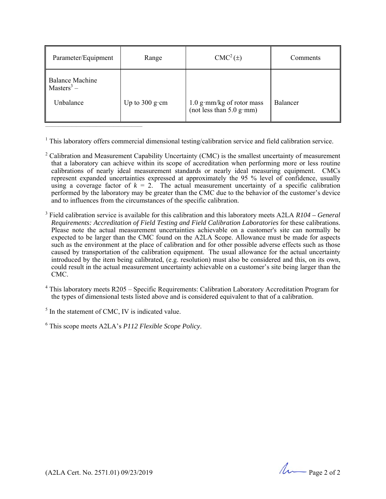| Parameter/Equipment                                    | Range                                 | $CMC2(\pm)$                                               | Comments |
|--------------------------------------------------------|---------------------------------------|-----------------------------------------------------------|----------|
| Balance Machine<br>Masters <sup>3</sup> –<br>Unbalance | Up to $300 \text{ g} \cdot \text{cm}$ | $1.0$ g·mm/kg of rotor mass<br>(not less than $5.0$ g·mm) | Balancer |

<sup>1</sup> This laboratory offers commercial dimensional testing/calibration service and field calibration service.

- $2^2$  Calibration and Measurement Capability Uncertainty (CMC) is the smallest uncertainty of measurement that a laboratory can achieve within its scope of accreditation when performing more or less routine calibrations of nearly ideal measurement standards or nearly ideal measuring equipment. CMCs represent expanded uncertainties expressed at approximately the 95 % level of confidence, usually using a coverage factor of  $k = 2$ . The actual measurement uncertainty of a specific calibration performed by the laboratory may be greater than the CMC due to the behavior of the customer's device and to influences from the circumstances of the specific calibration.
- 3 Field calibration service is available for this calibration and this laboratory meets A2LA *R104 General Requirements: Accreditation of Field Testing and Field Calibration Laboratories* for these calibrations. Please note the actual measurement uncertainties achievable on a customer's site can normally be expected to be larger than the CMC found on the A2LA Scope. Allowance must be made for aspects such as the environment at the place of calibration and for other possible adverse effects such as those caused by transportation of the calibration equipment. The usual allowance for the actual uncertainty introduced by the item being calibrated, (e.g. resolution) must also be considered and this, on its own, could result in the actual measurement uncertainty achievable on a customer's site being larger than the CMC.
- <sup>4</sup> This laboratory meets R205 Specific Requirements: Calibration Laboratory Accreditation Program for the types of dimensional tests listed above and is considered equivalent to that of a calibration.

 $<sup>5</sup>$  In the statement of CMC, IV is indicated value.</sup>

6 This scope meets A2LA's *P112 Flexible Scope Policy*.

(A2LA Cert. No. 2571.01) 09/23/2019 2000 2000 2000 2000 2000 Page 2 of 2